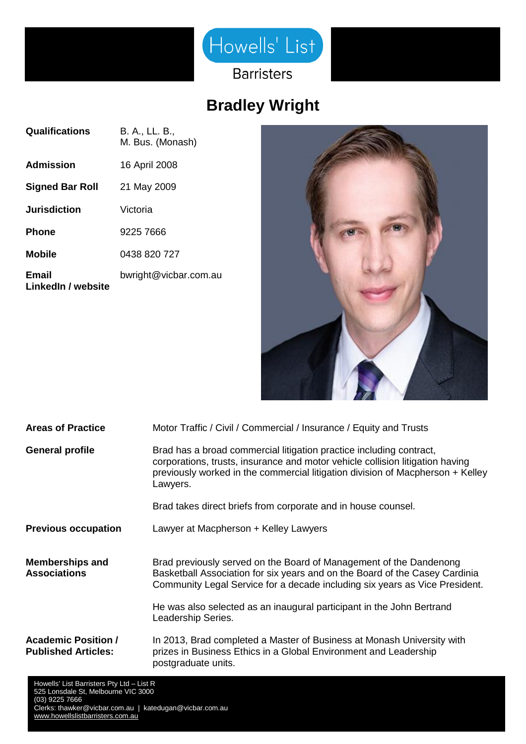

**Barristers** 

## **Bradley Wright**

| <b>Qualifications</b>       | B. A., LL. B.,<br>M. Bus. (Monash) |
|-----------------------------|------------------------------------|
| <b>Admission</b>            | 16 April 2008                      |
| <b>Signed Bar Roll</b>      | 21 May 2009                        |
| <b>Jurisdiction</b>         | Victoria                           |
| <b>Phone</b>                | 9225 7666                          |
| <b>Mobile</b>               | 0438 820 727                       |
| Email<br>LinkedIn / website | bwright@vicbar.com.au              |



| <b>Areas of Practice</b>                                 | Motor Traffic / Civil / Commercial / Insurance / Equity and Trusts                                                                                                                                                                                 |
|----------------------------------------------------------|----------------------------------------------------------------------------------------------------------------------------------------------------------------------------------------------------------------------------------------------------|
| <b>General profile</b>                                   | Brad has a broad commercial litigation practice including contract,<br>corporations, trusts, insurance and motor vehicle collision litigation having<br>previously worked in the commercial litigation division of Macpherson + Kelley<br>Lawyers. |
|                                                          | Brad takes direct briefs from corporate and in house counsel.                                                                                                                                                                                      |
| <b>Previous occupation</b>                               | Lawyer at Macpherson + Kelley Lawyers                                                                                                                                                                                                              |
| <b>Memberships and</b><br><b>Associations</b>            | Brad previously served on the Board of Management of the Dandenong<br>Basketball Association for six years and on the Board of the Casey Cardinia<br>Community Legal Service for a decade including six years as Vice President.                   |
|                                                          | He was also selected as an inaugural participant in the John Bertrand<br>Leadership Series.                                                                                                                                                        |
| <b>Academic Position /</b><br><b>Published Articles:</b> | In 2013, Brad completed a Master of Business at Monash University with<br>prizes in Business Ethics in a Global Environment and Leadership<br>postgraduate units.                                                                                  |
| Howells' List Barristers Pty Ltd - List R                |                                                                                                                                                                                                                                                    |